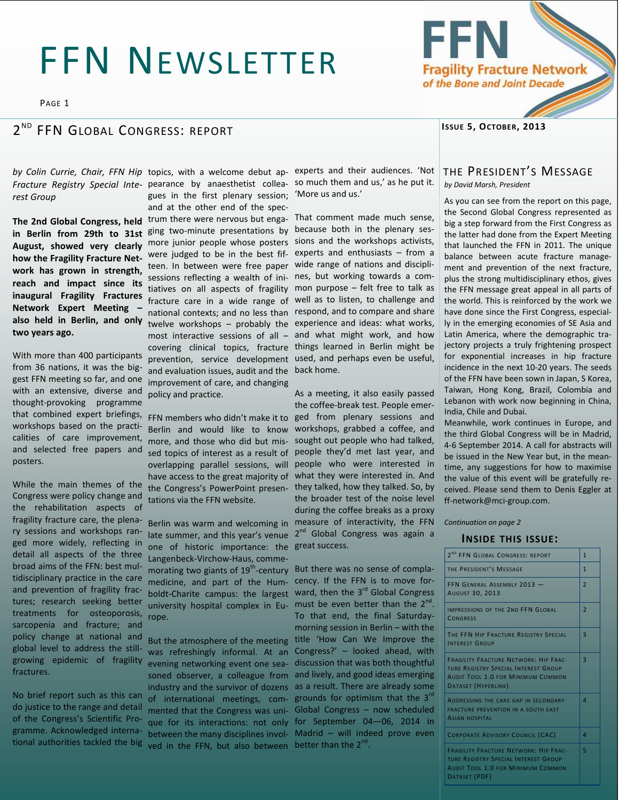# FFN NEWSLETTER

PAGE 1

#### $2^{ND}$ FFN GLOBAL CONGRESS: REPORT

*rest Group* 

**The 2nd Global Congress, held August, showed very clearly how the Fragility Fracture Network has grown in strength, reach and impact since its inaugural Fragility Fractures Network Expert Meeting – also held in Berlin, and only two years ago.** 

With more than 400 participants from 36 nations, it was the biggest FFN meeting so far, and one with an extensive, diverse and thought-provoking programme that combined expert briefings, workshops based on the practicalities of care improvement, and selected free papers and posters.

While the main themes of the Congress were policy change and the rehabilitation aspects of fragility fracture care, the plenary sessions and workshops ranged more widely, reflecting in detail all aspects of the three broad aims of the FFN: best multidisciplinary practice in the care and prevention of fragility fractures; research seeking better treatments for osteoporosis, sarcopenia and fracture; and policy change at national and global level to address the stillgrowing epidemic of fragility fractures.

No brief report such as this can do justice to the range and detail of the Congress's Scientific Programme. Acknowledged international authorities tackled the big

Fracture Registry Special Inte- pearance by anaesthetist collea- so much them and us,' as he put it. in Berlin from 29th to 31st <sup>ging</sup> two-minute presentations by because both in the plenary sesgues in the first plenary session; 'More us and us.' and at the other end of the spectrum there were nervous but enga-That comment made much sense, more junior people whose posters sions and the workshops activists, were judged to be in the best fif-experts and enthusiasts – from a teen. In between were free paper wide range of nations and disciplisessions reflecting a wealth of ini-nes, but working towards a comtiatives on all aspects of fragility mon purpose – felt free to talk as fracture care in a wide range of well as to listen, to challenge and national contexts; and no less than respond, and to compare and share twelve workshops – probably the experience and ideas: what works, most interactive sessions of all – and what might work, and how covering clinical topics, fracture things learned in Berlin might be prevention, service development used, and perhaps even be useful, and evaluation issues, audit and the back home. improvement of care, and changing policy and practice.

> Berlin and would like to know workshops, grabbed a coffee, and more, and those who did but mis-sought out people who had talked, sed topics of interest as a result of people they'd met last year, and overlapping parallel sessions, will have access to the great majority of what they were interested in. And the Congress's PowerPoint presen- they talked, how they talked. So, by tations via the FFN website.

> late summer, and this year's venue 2<sup>nd</sup> Global Congress was again a one of historic importance: the great success. Langenbeck-Virchow-Haus, commemorating two giants of 19<sup>th</sup>-century But there was no sense of complamedicine, and part of the Hum-cency. If the FFN is to move forboldt-Charite campus: the largest ward, then the 3<sup>rd</sup> Global Congress university hospital complex in Eu- must be even better than the  $2^{nd}$ . rope.

> was refreshingly informal. At an evening networking event one seasoned observer, a colleague from and lively, and good ideas emerging industry and the survivor of dozens as a result. There are already some of international meetings, com- grounds for optimism that the 3<sup>rd</sup> mented that the Congress was uni-Global Congress – now scheduled que for its interactions: not only for September 04—06, 2014 in between the many disciplines invol-Madrid – will indeed prove even ved in the FFN, but also between better than the  $2^{nd}$ .

by Colin Currie, Chair, FFN Hip topics, with a welcome debut ap- experts and their audiences. 'Not

FFN members who didn't make it to ged from plenary sessions and Berlin was warm and welcoming in measure of interactivity, the FFN As a meeting, it also easily passed the coffee-break test. People emerpeople who were interested in the broader test of the noise level during the coffee breaks as a proxy

But the atmosphere of the meeting title 'How Can We Improve the To that end, the final Saturdaymorning session in Berlin – with the Congress?' – looked ahead, with discussion that was both thoughtful

## **ISSUE 5, OCTOBER, 2013**

## THE PRESIDENT'S MESSAGE *by David Marsh, President*

As you can see from the report on this page, the Second Global Congress represented as big a step forward from the First Congress as the latter had done from the Expert Meeting that launched the FFN in 2011. The unique balance between acute fracture management and prevention of the next fracture, plus the strong multidisciplinary ethos, gives the FFN message great appeal in all parts of the world. This is reinforced by the work we have done since the First Congress, especially in the emerging economies of SE Asia and Latin America, where the demographic trajectory projects a truly frightening prospect for exponential increases in hip fracture incidence in the next 10-20 years. The seeds of the FFN have been sown in Japan, S Korea, Taiwan, Hong Kong, Brazil, Colombia and Lebanon with work now beginning in China, India, Chile and Dubai.

Meanwhile, work continues in Europe, and the third Global Congress will be in Madrid, 4-6 September 2014. A call for abstracts will be issued in the New Year but, in the meantime, any suggestions for how to maximise the value of this event will be gratefully received. Please send them to Denis Eggler at ff-network@mci-group.com.

*Continuation on page 2* 

#### **INSIDE THIS ISSUE:**

| 2 <sup>ND</sup> FFN GLOBAL CONGRESS: REPORT                                                                                                                    |                |  |
|----------------------------------------------------------------------------------------------------------------------------------------------------------------|----------------|--|
| THE PRESIDENT'S MESSAGE                                                                                                                                        | $\mathbf{1}$   |  |
| FFN GENERAL ASSEMBLY 2013 -<br><b>AUGUST 30, 2013</b>                                                                                                          | $\overline{2}$ |  |
| IMPRESSIONS OF THE 2ND FEN GLOBAL<br><b>CONGRESS</b>                                                                                                           | $\overline{2}$ |  |
| THE FEN HIP FRACTURE REGISTRY SPECIAL<br><b>INTEREST GROUP</b>                                                                                                 | 3              |  |
| <b>FRAGILITY FRACTURE NETWORK: HIP FRAC-</b><br><b>TURE REGISTRY SPECIAL INTEREST GROUP</b><br><b>AUDIT TOOL 1.0 FOR MINIMUM COMMON</b><br>DATASET (HYPERLINK) | $\overline{a}$ |  |
| ADDRESSING THE CARE GAP IN SECONDARY<br><b>FRACTURE PREVENTION IN A SOUTH EAST</b><br><b>ASIAN HOSPITAL</b>                                                    | $\overline{A}$ |  |
| <b>CORPORATE ADVISORY COUNCIL (CAC)</b>                                                                                                                        | $\overline{a}$ |  |
| <b>FRAGILITY FRACTURE NETWORK: HIP FRAC-</b><br>TURE REGISTRY SPECIAL INTEREST GROUP<br><b>AUDIT TOOL 1.0 FOR MINIMUM COMMON</b><br>DATASET (PDF)              | 5              |  |

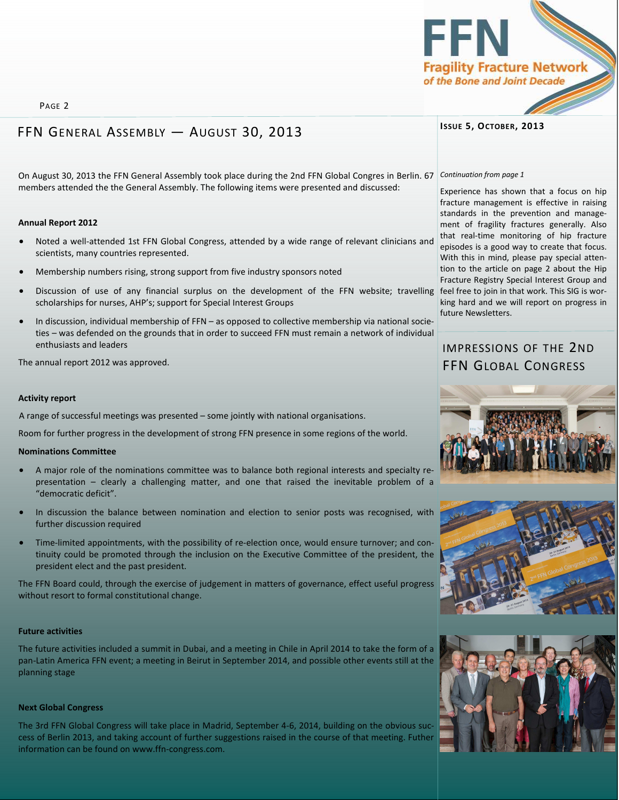PAGE 2

# FFN GENERAL ASSEMBLY — AUGUST 30, 2013

On August 30, 2013 the FFN General Assembly took place during the 2nd FFN Global Congres in Berlin. 67 Continuation from page 1 members attended the the General Assembly. The following items were presented and discussed:

### **Annual Report 2012**

- Noted a well-attended 1st FFN Global Congress, attended by a wide range of relevant clinicians and scientists, many countries represented.
- Membership numbers rising, strong support from five industry sponsors noted
- Discussion of use of any financial surplus on the development of the FFN website; travelling feel free to join in that work. This SIG is worscholarships for nurses, AHP's; support for Special Interest Groups
- In discussion, individual membership of FFN as opposed to collective membership via national societies – was defended on the grounds that in order to succeed FFN must remain a network of individual enthusiasts and leaders

The annual report 2012 was approved.

## **Activity report**

A range of successful meetings was presented – some jointly with national organisations.

Room for further progress in the development of strong FFN presence in some regions of the world.

# **Nominations Committee**

- A major role of the nominations committee was to balance both regional interests and specialty representation – clearly a challenging matter, and one that raised the inevitable problem of a "democratic deficit".
- In discussion the balance between nomination and election to senior posts was recognised, with further discussion required
- Time-limited appointments, with the possibility of re-election once, would ensure turnover; and continuity could be promoted through the inclusion on the Executive Committee of the president, the president elect and the past president.

The FFN Board could, through the exercise of judgement in matters of governance, effect useful progress without resort to formal constitutional change.

# **Future activities**

The future activities included a summit in Dubai, and a meeting in Chile in April 2014 to take the form of a pan-Latin America FFN event; a meeting in Beirut in September 2014, and possible other events still at the planning stage

# **Next Global Congress**

The 3rd FFN Global Congress will take place in Madrid, September 4-6, 2014, building on the obvious success of Berlin 2013, and taking account of further suggestions raised in the course of that meeting. Futher information can be found on [www.ffn-congress.com.](http://www.ffn-congress.com/) 

# **ISSUE 5, OCTOBER, 2013**

Experience has shown that a focus on hip fracture management is effective in raising standards in the prevention and management of fragility fractures generally. Also that real-time monitoring of hip fracture episodes is a good way to create that focus. With this in mind, please pay special attention to the article on page 2 about the Hip Fracture Registry Special Interest Group and king hard and we will report on progress in future Newsletters.

# IMPRESSIONS OF THE 2ND FFN GLOBAL CONGRESS







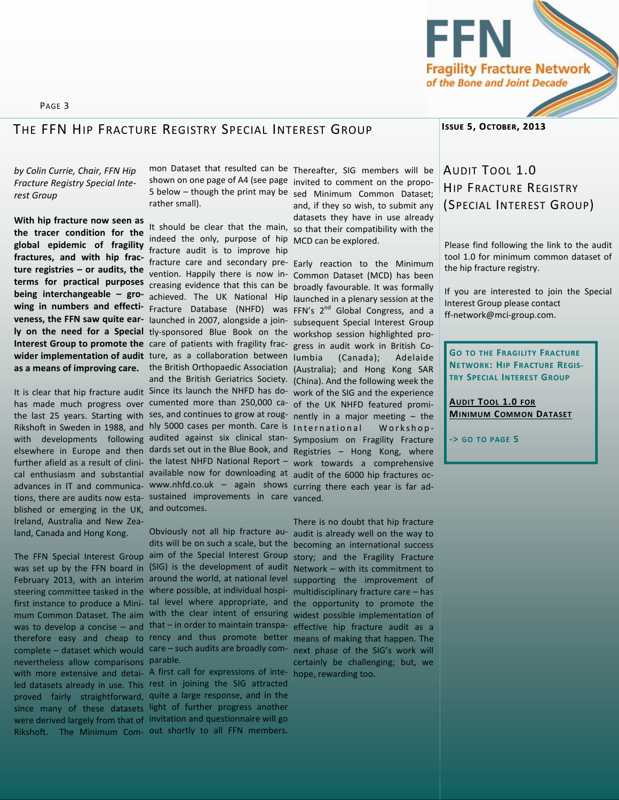

# THE FFN HIP FRACTURE REGISTRY SPECIAL INTEREST GROUP

# *by Colin Currie, Chair, FFN Hip Fracture Registry Special Interest Group*

PAGE 3

**With hip fracture now seen as the tracer condition for the** 

blished or emerging in the UK, and outcomes. Ireland, Australia and New Zealand, Canada and Hong Kong.

nevertheless allow comparisons parable. with more extensive and detai- A first call for expressions of inte- hope, rewarding too. Rikshoft. The Minimum Com- out shortly to all FFN members.

rather small).

**global epidemic of fragility**  fracture audit is to improve hip **fractures, and with hip frac-** mediate dealth of commence the care in the care of the Minimum **ture registries – or audits, the**  vention. Happily there is now in-Common Dataset (MCD) has been **terms for practical purposes**  creasing evidence that this can be broadly favourable. It was formally **being interchangeable – gro-** achieved. The UK National Hip launched in a plenary session at the **wing in numbers and effecti-**Fracture Database (NHFD) was FFN's 2nd Global Congress, and a **veness, the FFN saw quite ear-** launched in 2007, alongside a join- subsequent Special Interest Group ly on the need for a Special tly-sponsored Blue Book on the workshop session highlighted pro-Interest Group to promote the care of patients with fragility frac- gress in audit work in British Cowider implementation of audit ture, as a collaboration between as a means of improving care. the British Orthopaedic Association (Australia); and Hong Kong SAR It is clear that hip fracture audit Since its launch the NHFD has do- work of the SIG and the experience has made much progress over cumented more than 250,000 ca- of the UK NHFD featured promithe last 25 years. Starting with ses, and continues to grow at roug- nently in a major meeting – the Rikshoft in Sweden in 1988, and hly 5000 cases per month. Care is International Workshopwith developments following audited against six clinical stan- Symposium on Fragility Fracture elsewhere in Europe and then dards set out in the Blue Book, and Registries – Hong Kong, where further afield as a result of clini- the latest NHFD National Report - work towards a comprehensive cal enthusiasm and substantial available now for downloading at audit of the 6000 hip fractures ocadvances in IT and communica- <www.nhfd.co.uk>– again shows curring there each year is far adtions, there are audits now esta- sustained improvements in care <sub>vanced</sub>. It should be clear that the main, so that their compatibility with the indeed the only, purpose of hip MCD can be explored. and the British Geriatrics Society. (China). And the following week the

The FFN Special Interest Group aim of the Special Interest Group story; and the Fragility Fracture was set up by the FFN board in (SIG) is the development of audit Network – with its commitment to February 2013, with an interim around the world, at national level supporting the improvement of steering committee tasked in the where possible, at individual hospi-multidisciplinary fracture care – has first instance to produce a Mini- tal level where appropriate, and the opportunity to promote the mum Common Dataset. The aim with the clear intent of ensuring widest possible implementation of was to develop a concise – and that – in order to maintain transpatherefore easy and cheap to rency and thus promote better means of making that happen. The complete – dataset which would care – such audits are broadly com- next phase of the SIG's work will Obviously not all hip fracture au- audit is already well on the way to dits will be on such a scale, but the becoming an international success

led datasets already in use. This rest in joining the SIG attracted proved fairly straightforward, quite a large response, and in the since many of these datasets light of further progress another were derived largely from that of invitation and questionnaire will go

mon Dataset that resulted can be Thereafter, SIG members will be shown on one page of A4 (see page invited to comment on the propo-5 below – though the print may be sed Minimum Common Dataset; and, if they so wish, to submit any datasets they have in use already

(Canada); Adelaide

There is no doubt that hip fracture effective hip fracture audit as a certainly be challenging; but, we

# **ISSUE 5, OCTOBER, 2013**

# AUDIT TOOL 1.0 HIP FRACTURE REGISTRY (SPECIAL INTEREST GROUP)

Please find following the link to the audit tool 1.0 for minimum common dataset of the hip fracture registry.

If you are interested to join the Special Interest Group please contact ff-network@mci-group.com.

**GO TO THE FRAGILITY FRACTURE NETWORK: HIP FRACTURE REGIS-TRY SPECIAL INTEREST GROUP**

**AUDIT TOOL 1.0 FOR MINIMUM C[OMMON](http://www.ff-network.org/special-interest-group---hip-fracture-database.php) DATASET**

**-> GO TO PAGE 5**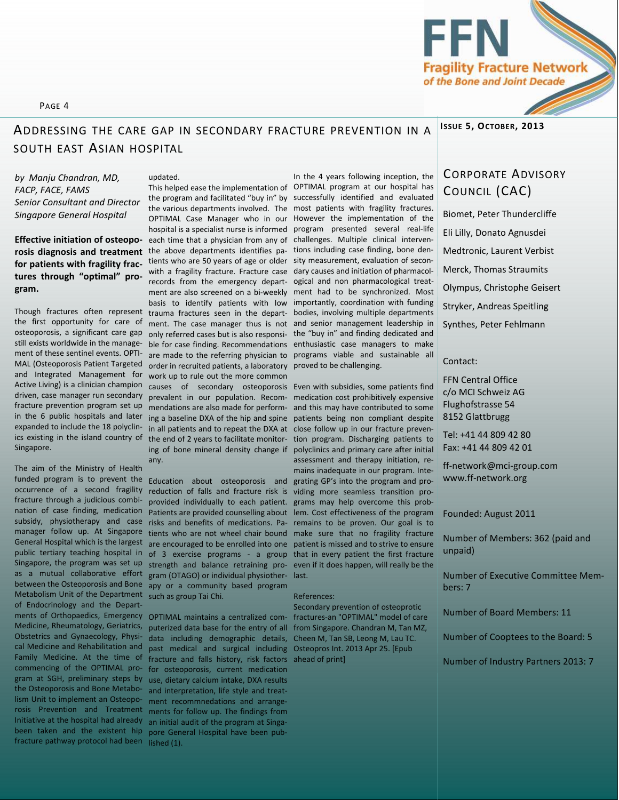## PAGE 4

# **ADDRESSING THE CARE GAP IN SECONDARY FRACTURE PREVENTION IN A <sup>ISSUE</sup> 5, OCTOBER, 2013** SOUTH EAST ASIAN HOSPITAL

updated.

*by Manju Chandran, MD, FACP, FACE, FAMS Senior Consultant and Director Singapore General Hospital* 

**Effective initiation of osteopofor patients with fragility fractures through "optimal" program.** 

the first opportunity for care of osteoporosis, a significant care gap still exists worldwide in the management of these sentinel events. OPTI-MAL (Osteoporosis Patient Targeted and Integrated Management for driven, case manager run secondary fracture prevention program set up in the 6 public hospitals and later expanded to include the 18 polyclinics existing in the island country of Singapore.

The aim of the Ministry of Health funded program is to prevent the occurrence of a second fragility fracture through a judicious combination of case finding, medication subsidy, physiotherapy and case manager follow up. At Singapore General Hospital which is the largest public tertiary teaching hospital in as a mutual collaborative effort Metabolism Unit of the Department such as group Tai Chi. of Endocrinology and the Depart-Obstetrics and Gynaecology, Physical Medicine and Rehabilitation and Family Medicine. At the time of commencing of the OPTIMAL program at SGH, preliminary steps by the Osteoporosis and Bone Metabolism Unit to implement an Osteoporosis Prevention and Treatment Initiative at the hospital had already been taken and the existent hip fracture pathway protocol had been

rosis diagnosis and treatment the above departments identifies pa- tions including case finding, bone den-Though fractures often represent trauma fractures seen in the depart- bodies, involving multiple departments Active Living) is a clinician champion causes of secondary osteoporosis Even with subsidies, some patients find This helped ease the implementation of OPTIMAL program at our hospital has the program and facilitated "buy in" by successfully identified and evaluated the various departments involved. The most patients with fragility fractures. OPTIMAL Case Manager who in our However the implementation of the hospital is a specialist nurse is informed program presented several real-life each time that a physician from any of challenges. Multiple clinical interventients who are 50 years of age or older sity measurement, evaluation of seconwith a fragility fracture. Fracture case dary causes and initiation of pharmacolrecords from the emergency depart-ogical and non pharmacological treatment are also screened on a bi-weekly ment had to be synchronized. Most basis to identify patients with low ment. The case manager thus is not and senior management leadership in only referred cases but is also responsi-the "buy in" and finding dedicated and ble for case finding. Recommendations enthusiastic case managers to make are made to the referring physician to programs viable and sustainable all order in recruited patients, a laboratory proved to be challenging. work up to rule out the more common prevalent in our population. Recom-medication cost prohibitively expensive mendations are also made for perform-and this may have contributed to some ing a baseline DXA of the hip and spine patients being non compliant despite in all patients and to repeat the DXA at close follow up in our fracture preventhe end of 2 years to facilitate monitor-tion program. Discharging patients to ing of bone mineral density change if polyclinics and primary care after initial any.

Singapore, the program was set up strength and balance retraining pro- even if it does happen, will really be the between the Osteoporosis and Bone apy or a community based program Education about osteoporosis and grating GP's into the program and proreduction of falls and fracture risk is viding more seamless transition proprovided individually to each patient. grams may help overcome this prob-Patients are provided counselling about lem. Cost effectiveness of the program risks and benefits of medications. Pa-remains to be proven. Our goal is to tients who are not wheel chair bound make sure that no fragility fracture are encouraged to be enrolled into one patient is missed and to strive to ensure of 3 exercise programs - a group that in every patient the first fracture gram (OTAGO) or individual physiother-

Medicine, Rheumatology, Geriatrics, puterized data base for the entry of all from Singapore. Chandran M, Tan MZ, data including demographic details, Cheen M, Tan SB, Leong M, Lau TC. past medical and surgical including Osteopros Int. 2013 Apr 25. [Epub fracture and falls history, risk factors ahead of print] for osteoporosis, current medication use, dietary calcium intake, DXA results and interpretation, life style and treatment recommnedations and arrangements for follow up. The findings from an initial audit of the program at Singapore General Hospital have been published (1).

In the 4 years following inception, the importantly, coordination with funding

assessment and therapy initiation, remains inadequate in our program. Intelast.

#### References:

ments of Orthopaedics, Emergency OPTIMAL maintains a centralized com-fractures-an "OPTIMAL" model of care Secondary prevention of osteoprotic

# CORPORATE ADVISORY

Biomet, Peter Thundercliffe Eli Lilly, Donato Agnusdei Medtronic, Laurent Verbist Merck, Thomas Straumits Olympus, Christophe Geisert COUNCIL (CAC)

Stryker, Andreas Speitling

Synthes, Peter Fehlmann

#### Contact:

FFN Central Office c/o MCI Schweiz AG Flughofstrasse 54 8152 Glattbrugg

Tel: +41 44 809 42 80 Fax: +41 44 809 42 01

ff-network@mci-group.com [www.ff-network.org](http://www.ff-network.org/) 

#### Founded: August 2011

Number of Members: 362 (paid and unpaid)

Number of Executive Committee Members: 7

Number of Board Members: 11

Number of Cooptees to the Board: 5

Number of Industry Partners 2013: 7

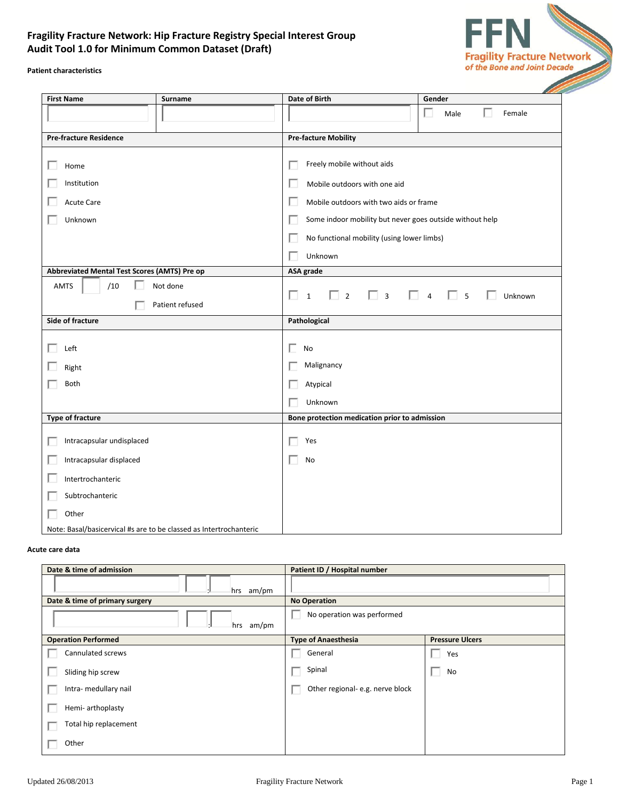# **Fragility Fracture Network: Hip Fracture Registry Special Interest Group Audit Tool 1.0 for Minimum Common Dataset (Draft)**



**Patient characteristics**

| <b>First Name</b><br>Surname                                                                                                                                                |  | <b>Date of Birth</b>                                                                                                                                                                                                      | Gender                                |  |  |  |
|-----------------------------------------------------------------------------------------------------------------------------------------------------------------------------|--|---------------------------------------------------------------------------------------------------------------------------------------------------------------------------------------------------------------------------|---------------------------------------|--|--|--|
|                                                                                                                                                                             |  |                                                                                                                                                                                                                           | п<br>Male<br>Female                   |  |  |  |
| <b>Pre-fracture Residence</b>                                                                                                                                               |  | <b>Pre-facture Mobility</b>                                                                                                                                                                                               |                                       |  |  |  |
| Home<br>Institution<br><b>Acute Care</b><br>Unknown                                                                                                                         |  | Freely mobile without aids<br>Mobile outdoors with one aid<br>Mobile outdoors with two aids or frame<br>Some indoor mobility but never goes outside without help<br>No functional mobility (using lower limbs)<br>Unknown |                                       |  |  |  |
| Abbreviated Mental Test Scores (AMTS) Pre op                                                                                                                                |  | ASA grade                                                                                                                                                                                                                 |                                       |  |  |  |
| /10<br>Not done<br><b>AMTS</b><br>Patient refused                                                                                                                           |  | $\Box$ 3<br>П.<br>П<br>$\Box$ 2<br>$\mathbf{1}$                                                                                                                                                                           | $\Box$ 5<br>$\overline{4}$<br>Unknown |  |  |  |
| Side of fracture                                                                                                                                                            |  | Pathological                                                                                                                                                                                                              |                                       |  |  |  |
| Left<br>Right<br><b>Both</b>                                                                                                                                                |  | No<br>Malignancy<br>Atypical<br>Unknown                                                                                                                                                                                   |                                       |  |  |  |
| <b>Type of fracture</b>                                                                                                                                                     |  | Bone protection medication prior to admission                                                                                                                                                                             |                                       |  |  |  |
| Intracapsular undisplaced<br>Intracapsular displaced<br>Intertrochanteric<br>Subtrochanteric<br>Other<br>Note: Basal/basicervical #s are to be classed as Intertrochanteric |  | Yes<br>No                                                                                                                                                                                                                 |                                       |  |  |  |

#### **Acute care data**

| Date & time of admission       | Patient ID / Hospital number     |                        |  |
|--------------------------------|----------------------------------|------------------------|--|
| hrs am/pm                      |                                  |                        |  |
| Date & time of primary surgery | <b>No Operation</b>              |                        |  |
| am/pm<br>hrs                   | No operation was performed       |                        |  |
| <b>Operation Performed</b>     | <b>Type of Anaesthesia</b>       | <b>Pressure Ulcers</b> |  |
| Cannulated screws              | General                          | Yes<br>ш               |  |
| Sliding hip screw              | Spinal                           | No<br>L.               |  |
| Intra- medullary nail          | Other regional- e.g. nerve block |                        |  |
| Hemi- arthoplasty              |                                  |                        |  |
| Total hip replacement          |                                  |                        |  |
| Other                          |                                  |                        |  |